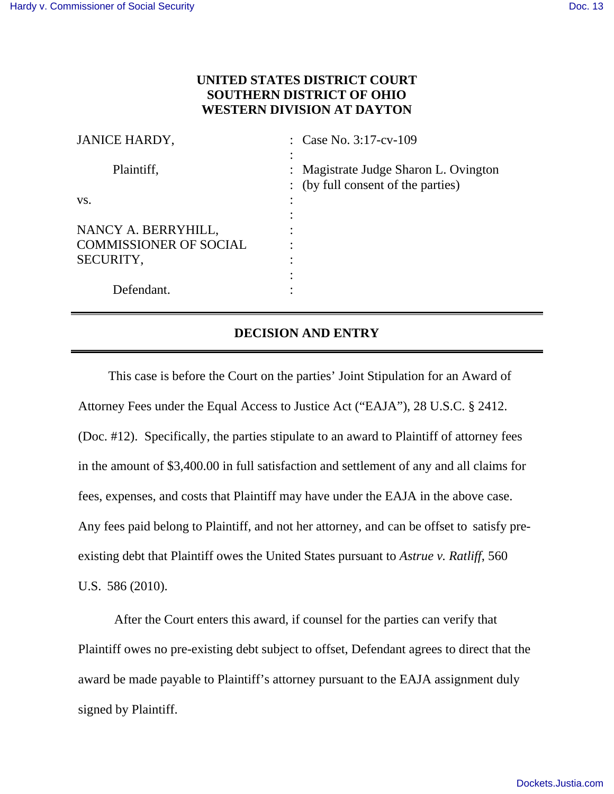## **UNITED STATES DISTRICT COURT SOUTHERN DISTRICT OF OHIO WESTERN DIVISION AT DAYTON**

| <b>JANICE HARDY,</b>          | : Case No. $3:17$ -cv-109                                                   |
|-------------------------------|-----------------------------------------------------------------------------|
| Plaintiff,                    | : Magistrate Judge Sharon L. Ovington<br>: (by full consent of the parties) |
| VS.                           |                                                                             |
|                               |                                                                             |
| NANCY A. BERRYHILL,           |                                                                             |
| <b>COMMISSIONER OF SOCIAL</b> |                                                                             |
| SECURITY,                     |                                                                             |
|                               |                                                                             |
| Defendant.                    |                                                                             |

## **DECISION AND ENTRY**

This case is before the Court on the parties' Joint Stipulation for an Award of Attorney Fees under the Equal Access to Justice Act ("EAJA"), 28 U.S.C. § 2412. (Doc. #12). Specifically, the parties stipulate to an award to Plaintiff of attorney fees in the amount of \$3,400.00 in full satisfaction and settlement of any and all claims for fees, expenses, and costs that Plaintiff may have under the EAJA in the above case. Any fees paid belong to Plaintiff, and not her attorney, and can be offset to satisfy preexisting debt that Plaintiff owes the United States pursuant to *Astrue v. Ratliff*, 560 U.S. 586 (2010).

After the Court enters this award, if counsel for the parties can verify that Plaintiff owes no pre-existing debt subject to offset, Defendant agrees to direct that the award be made payable to Plaintiff's attorney pursuant to the EAJA assignment duly signed by Plaintiff.